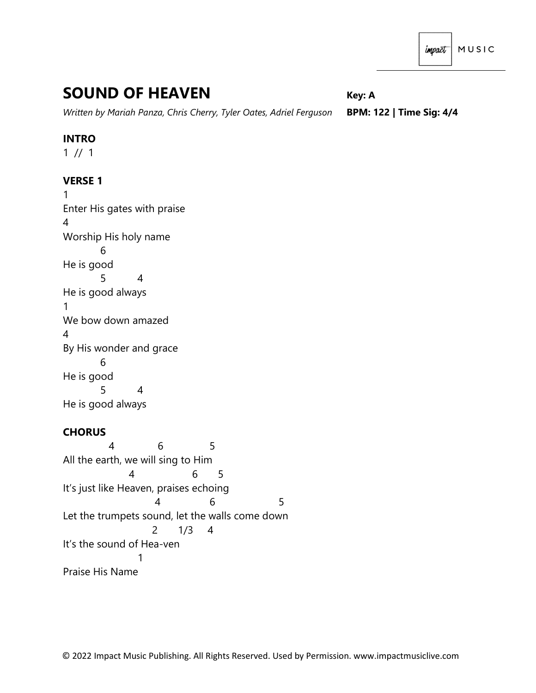# **SOUND OF HEAVEN** *Key: A*

*Written by Mariah Panza, Chris Cherry, Tyler Oates, Adriel Ferguson* **BPM: 122 | Time Sig: 4/4**

### **INTRO**

 $1 / 1$ 

# **VERSE 1**

1 Enter His gates with praise 4 Worship His holy name 6 He is good 5 4 He is good always 1 We bow down amazed 4 By His wonder and grace 6 He is good 5 4 He is good always

## **CHORUS**

 4 6 5 All the earth, we will sing to Him 4 6 5 It's just like Heaven, praises echoing 4 6 5 Let the trumpets sound, let the walls come down 2 1/3 4 It's the sound of Hea-ven 1 Praise His Name